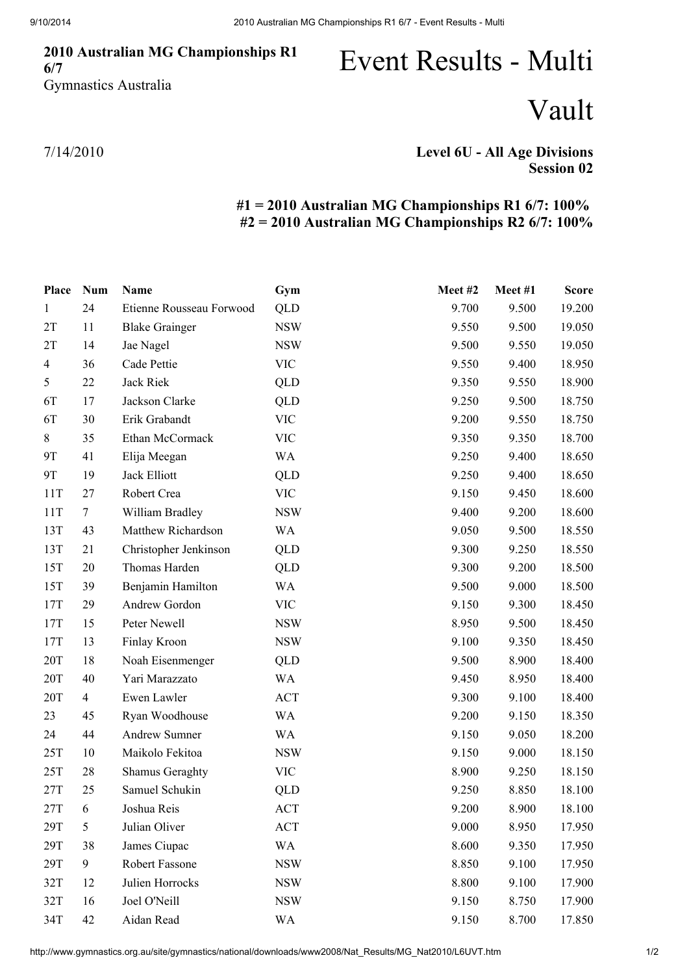## 2010 Australian MG Championships R1 6/7 Gymnastics Australia

## Event Results - Multi

Vault

7/14/2010

## Level 6U - All Age Divisions Session 02

## #1 = 2010 Australian MG Championships R1 6/7: 100% #2 = 2010 Australian MG Championships R2 6/7: 100%

| Place          | <b>Num</b>     | <b>Name</b>              | Gym        | Meet#2 | Meet #1 | <b>Score</b> |
|----------------|----------------|--------------------------|------------|--------|---------|--------------|
| $\mathbf{1}$   | 24             | Etienne Rousseau Forwood | <b>QLD</b> | 9.700  | 9.500   | 19.200       |
| 2T             | 11             | <b>Blake Grainger</b>    | <b>NSW</b> | 9.550  | 9.500   | 19.050       |
| 2T             | 14             | Jae Nagel                | <b>NSW</b> | 9.500  | 9.550   | 19.050       |
| $\overline{4}$ | 36             | Cade Pettie              | <b>VIC</b> | 9.550  | 9.400   | 18.950       |
| 5              | 22             | Jack Riek                | <b>QLD</b> | 9.350  | 9.550   | 18.900       |
| 6T             | 17             | Jackson Clarke           | QLD        | 9.250  | 9.500   | 18.750       |
| 6T             | 30             | Erik Grabandt            | <b>VIC</b> | 9.200  | 9.550   | 18.750       |
| 8              | 35             | Ethan McCormack          | <b>VIC</b> | 9.350  | 9.350   | 18.700       |
| 9T             | 41             | Elija Meegan             | WA         | 9.250  | 9.400   | 18.650       |
| 9T             | 19             | Jack Elliott             | QLD        | 9.250  | 9.400   | 18.650       |
| 11T            | 27             | Robert Crea              | <b>VIC</b> | 9.150  | 9.450   | 18.600       |
| 11T            | $\tau$         | William Bradley          | <b>NSW</b> | 9.400  | 9.200   | 18.600       |
| 13T            | 43             | Matthew Richardson       | WA         | 9.050  | 9.500   | 18.550       |
| 13T            | 21             | Christopher Jenkinson    | <b>QLD</b> | 9.300  | 9.250   | 18.550       |
| 15T            | 20             | Thomas Harden            | QLD        | 9.300  | 9.200   | 18.500       |
| 15T            | 39             | Benjamin Hamilton        | WA         | 9.500  | 9.000   | 18.500       |
| 17T            | 29             | Andrew Gordon            | <b>VIC</b> | 9.150  | 9.300   | 18.450       |
| 17T            | 15             | Peter Newell             | <b>NSW</b> | 8.950  | 9.500   | 18.450       |
| 17T            | 13             | Finlay Kroon             | <b>NSW</b> | 9.100  | 9.350   | 18.450       |
| 20T            | 18             | Noah Eisenmenger         | <b>QLD</b> | 9.500  | 8.900   | 18.400       |
| 20T            | 40             | Yari Marazzato           | WA         | 9.450  | 8.950   | 18.400       |
| 20T            | $\overline{4}$ | Ewen Lawler              | <b>ACT</b> | 9.300  | 9.100   | 18.400       |
| 23             | 45             | Ryan Woodhouse           | <b>WA</b>  | 9.200  | 9.150   | 18.350       |
| 24             | 44             | <b>Andrew Sumner</b>     | <b>WA</b>  | 9.150  | 9.050   | 18.200       |
| 25T            | 10             | Maikolo Fekitoa          | <b>NSW</b> | 9.150  | 9.000   | 18.150       |
| 25T            | 28             | <b>Shamus Geraghty</b>   | <b>VIC</b> | 8.900  | 9.250   | 18.150       |
| 27T            | 25             | Samuel Schukin           | <b>QLD</b> | 9.250  | 8.850   | 18.100       |
| 27T            | 6              | Joshua Reis              | ACT        | 9.200  | 8.900   | 18.100       |
| 29T            | 5              | Julian Oliver            | ACT        | 9.000  | 8.950   | 17.950       |
| 29T            | 38             | James Ciupac             | <b>WA</b>  | 8.600  | 9.350   | 17.950       |
| 29T            | 9              | Robert Fassone           | <b>NSW</b> | 8.850  | 9.100   | 17.950       |
| 32T            | 12             | Julien Horrocks          | <b>NSW</b> | 8.800  | 9.100   | 17.900       |
| 32T            | 16             | Joel O'Neill             | <b>NSW</b> | 9.150  | 8.750   | 17.900       |
| 34T            | 42             | Aidan Read               | WA         | 9.150  | 8.700   | 17.850       |